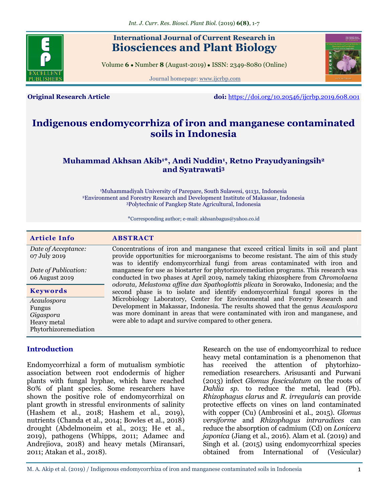

# **International Journal of Current Research in Biosciences and Plant Biology**

Volume **6** ● Number **8** (August-2019) ● ISSN: 2349-8080 (Online)

Journal homepage: [www.ijcrbp.com](http://www.ijcrbp.com/)



**Original Research Article doi:** <https://doi.org/10.20546/ijcrbp.2019.608.001>

# **Indigenous endomycorrhiza of iron and manganese contaminated soils in Indonesia**

# **Muhammad Akhsan Akib1\*, Andi Nuddin<sup>1</sup> , Retno Prayudyaningsih<sup>2</sup> and Syatrawati<sup>3</sup>**

<sup>1</sup>Muhammadiyah University of Parepare, South Sulawesi, 91131, Indonesia <sup>2</sup>Environment and Forestry Research and Development Institute of Makassar, Indonesia <sup>3</sup>Polytechnic of Pangkep State Agricultural, Indonesia

\*Corresponding author; e-mail: akhsanbagus@yahoo.co.id

| <b>Article Info</b>                  | <b>ABSTRACT</b>                                                                                                                                                     |  |  |  |  |  |
|--------------------------------------|---------------------------------------------------------------------------------------------------------------------------------------------------------------------|--|--|--|--|--|
| Date of Acceptance:                  | Concentrations of iron and manganese that exceed critical limits in soil and plant                                                                                  |  |  |  |  |  |
| 07 July 2019                         | provide opportunities for microorganisms to become resistant. The aim of this study<br>was to identify endomycorrhizal fungi from areas contaminated with iron and  |  |  |  |  |  |
| Date of Publication:                 | manganese for use as biostarter for phytorizoremediation programs. This research was                                                                                |  |  |  |  |  |
| 06 August 2019                       | conducted in two phases at April 2019, namely taking rhizosphere from <i>Chromolaena</i>                                                                            |  |  |  |  |  |
| <b>Keywords</b>                      | odorata, Melastoma affine dan Spathoglottis plicata in Sorowako, Indonesia; and the<br>second phase is to isolate and identify endomycorrhizal fungal spores in the |  |  |  |  |  |
| Acaulospora                          | Microbiology Laboratory, Center for Environmental and Forestry Research and                                                                                         |  |  |  |  |  |
| Fungus                               | Development in Makassar, Indonesia. The results showed that the genus Acaulospora                                                                                   |  |  |  |  |  |
| Gigaspora                            | was more dominant in areas that were contaminated with iron and manganese, and<br>were able to adapt and survive compared to other genera.                          |  |  |  |  |  |
| Heavy metal<br>Phytorhizoremediation |                                                                                                                                                                     |  |  |  |  |  |

#### **Introduction**

Endomycorrhizal a form of mutualism symbiotic association between root endodermis of higher plants with fungal hyphae, which have reached 80% of plant species. Some researchers have shown the positive role of endomycorrhizal on plant growth in stressful environments of salinity (Hashem et al., 2018; Hashem et al., 2019), nutrients (Chanda et al., 2014; Bowles et al., 2018) drought (Abdelmoneim et al., 2013; He et al., 2019), pathogens (Whipps, 2011; Adamec and Andrejiova, 2018) and heavy metals (Miransari, 2011; Atakan et al., 2018).

Research on the use of endomycorrhizal to reduce heavy metal contamination is a phenomenon that has received the attention of phytorhizoremediation researchers. Arisusanti and Purwani (2013) infect *Glomus fasciculatum* on the roots of *Dahlia sp.* to reduce the metal, lead (Pb). *Rhizophagus clarus* and *R. irregularis* can provide protective effects on vines on land contaminated with copper (Cu) (Ambrosini et al., 2015). *Glomus versiforme* and *Rhizophagus intraradices* can reduce the absorption of cadmium (Cd) on *Lonicera japonica* (Jiang et al., 2016). Alam et al. (2019) and Singh et al. (2015) using endomycorrhizal species obtained from International of (Vesicular)

M. A. Akip et al. (2019) / Indigenous endomycorrhiza of iron and manganese contaminated soils in Indonesia 1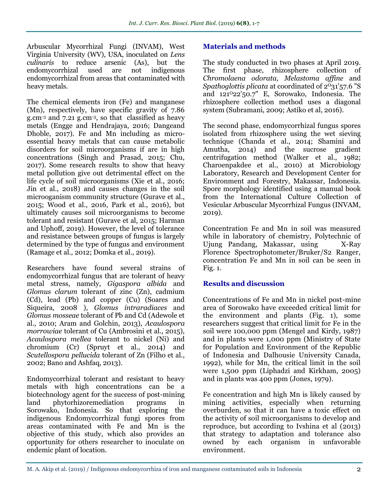Arbuscular Mycorrhizal Fungi (INVAM), West Virginia University (WV), USA, inoculated on *Lens culinaris* to reduce arsenic (As), but the endomycorrhizal used are not indigenous endomycorrhizal from areas that contaminated with heavy metals.

The chemical elements iron (Fe) and manganese (Mn), respectively, have specific gravity of 7.86 g.cm-3 and 7.21 g.cm-3 , so that classified as heavy metals (Engge and Hendrajaya, 2016; Dangeand Dhoble, 2017). Fe and Mn including as microessential heavy metals that can cause metabolic disorders for soil microorganisms if are in high concentrations (Singh and Prasad, 2015; Chu, 2017). Some research results to show that heavy metal pollution give out detrimental effect on the life cycle of soil microorganisms (Xie et al., 2016; Jin et al., 2018) and causes changes in the soil microoganism community structure (Gurave et al., 2015; Wood et al., 2016, Park et al., 2016), but ultimately causes soil microorganisms to become tolerant and resistant (Gurave et al, 2015; Harman and Uphoff, 2019). However, the level of tolerance and resistance between groups of fungus is largely determined by the type of fungus and environment (Ramage et al., 2012; Domka et al., 2019).

Researchers have found several strains of endomycorrhizal fungus that are tolerant of heavy metal stress, namely, *Gigaspora albida* and *Glomus clarum* tolerant of zinc (Zn), cadmium (Cd), lead (Pb) and copper (Cu) (Soares and Siqueira, 2008 ), *Glomus intraradiaces* and *Glomus mosseae* tolerant of Pb and Cd (Adewole et al., 2010; Aram and Golchin, 2013), *Acaulospora morrowiae* tolerant of Cu (Ambrosini et al., 2015), *Acaulospora mellea* tolerant to nickel (Ni) and chromium (Cr) (Spruyt et al., 2014) and *Scutellospora pellucida* tolerant of Zn (Filho et al., 2002; Bano and Ashfaq, 2013).

Endomycorrhizal tolerant and resistant to heavy metals with high concentrations can be a biotechnology agent for the success of post-mining land phytorhizoremediation programs in Sorowako, Indonesia. So that exploring the indigenous Endomycorrhizal fungi spores from areas contaminated with Fe and Mn is the objective of this study, which also provides an opportunity for others researcher to inoculate on endemic plant of location.

#### **Materials and methods**

The study conducted in two phases at April 2019. The first phase, rhizosphere collection of *Chromolaena odorata, Melastoma affine* and *Spathoglottis plicata* at coordinated of  $2^{0}31'57.6$  "S and 121<sup>0</sup>22'50.7" E, Sorowako, Indonesia. The rhizosphere collection method uses a diagonal system (Subramani, 2009; Astiko et al, 2016).

The second phase, endomycorrhizal fungus spores isolated from rhizosphere using the wet sieving technique (Chanda et al., 2014; Shamini and Amutha, 2014) and the sucrose gradient centrifugation method (Walker et al., 1982; Charoenpakdee et al., 2010) at Microbiology Laboratory, Research and Development Center for Environment and Forestry, Makassar, Indonesia. Spore morphology identified using a manual book from the International Culture Collection of Vesicular Arbuscular Mycorrhizal Fungus (INVAM, 2019).

Concentration Fe and Mn in soil was measured while in laboratory of chemistry, Polytechnic of Ujung Pandang, Makassar, using X-Ray Florence Spectrophotometer/Bruker/S2 Ranger, concentration Fe and Mn in soil can be seen in Fig. 1.

#### **Results and discussion**

Concentrations of Fe and Mn in nickel post-mine area of Sorowako have exceeded critical limit for the environment and plants (Fig. 1), some researchers suggest that critical limit for Fe in the soil were 100,000 ppm (Mengel and Kirdy, 1987) and in plants were 1,000 ppm (Ministry of State for Population and Environment of the Republic of Indonesia and Dalhousie University Canada, 1992), while for Mn, the critical limit in the soil were 1,500 ppm (Liphadzi and Kirkham, 2005) and in plants was 400 ppm (Jones, 1979).

Fe concentration and high Mn is likely caused by mining activities, especially when returning overburden, so that it can have a toxic effect on the activity of soil microorganisms to develop and reproduce, but according to Ivshina et al (2013) that strategy to adaptation and tolerance also owned by each organism in unfavorable environment.

M. A. Akip et al. (2019) / Indigenous endomycorrhiza of iron and manganese contaminated soils in Indonesia 2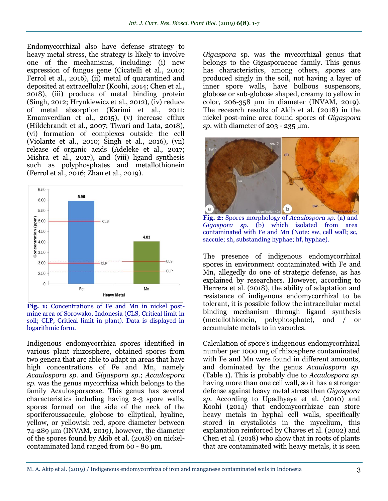Endomycorrhizal also have defense strategy to heavy metal stress, the strategy is likely to involve one of the mechanisms, including: (i) new expression of fungus gene (Cicatelli et al., 2010; Ferrol et al., 2016), (ii) metal of quarantined and deposited at extracellular (Koohi, 2014; Chen et al., 2018), (iii) produce of metal binding protein (Singh, 2012; Hrynkiewicz et al., 2012), (iv) reduce of metal absorption (Karimi et al., 2011; Emamverdian et al., 2015), (v) increase efflux (Hildebrandt et al., 2007; Tiwari and Lata, 2018), (vi) formation of complexes outside the cell (Violante et al., 2010; Singh et al., 2016), (vii) release of organic acids (Adeleke et al., 2017; Mishra et al., 2017), and (viii) ligand synthesis such as polyphosphates and metallothionein (Ferrol et al., 2016; Zhan et al., 2019).



**Fig. 1:** Concentrations of Fe and Mn in nickel postmine area of Sorowako, Indonesia (CLS, Critical limit in soil; CLP, Critical limit in plant). Data is displayed in logarithmic form.

Indigenous endomycorrhiza spores identified in various plant rhizosphere, obtained spores from two genera that are able to adapt in areas that have high concentrations of Fe and Mn, namely *Acaulospora sp*. and *Gigaspora sp.*; *Acaulospora sp.* was the genus mycorrhiza which belongs to the family Acaulosporaceae. This genus has several characteristics including having 2-3 spore walls, spores formed on the side of the neck of the sporiferoussaccule, globose to elliptical, hyaline, yellow, or yellowish red, spore diameter between  $74-289$  µm (INVAM, 2019), however, the diameter of the spores found by Akib et al. (2018) on nickelcontaminated land ranged from 60 - 80 μm.

*Gigaspora* sp. was the mycorrhizal genus that belongs to the Gigasporaceae family. This genus has characteristics, among others, spores are produced singly in the soil, not having a layer of inner spore walls, have bulbous suspensors, globose or sub-globose shaped, creamy to yellow in color, 206-358 μm in diameter (INVAM, 2019). The recearch results of Akib et al. (2018) in the nickel post-mine area found spores of *Gigaspora sp.* with diameter of 203 - 235 μm.



**Fig. 2:** Spores morphology of *Acaulospora sp.* (a) and *Gigaspora sp.* (b) which isolated from area contaminated with Fe and Mn (Note: sw, cell wall; sc, saccule; sh, substanding hyphae; hf, hyphae).

The presence of indigenous endomycorrhizal spores in environment contaminated with Fe and Mn, allegedly do one of strategic defense, as has explained by researchers. However, according to Herrera et al. (2018), the ability of adaptation and resistance of indigenous endomycorrhizal to be tolerant, it is possible follow the intracellular metal binding mechanism through ligand synthesis (metallothionein, polyphosphate), and / or accumulate metals to in vacuoles.

Calculation of spore's indigenous endomycorrhizal number per 1000 mg of rhizosphere contaminated with Fe and Mn were found in different amounts, and dominated by the genus *Acaulospora sp.* (Table 1). This is probably due to *Acaulospora sp.*  having more than one cell wall, so it has a stronger defense against heavy metal stress than *Gigaspora sp*. According to Upadhyaya et al. (2010) and Koohi (2014) that endomycorrhizae can store heavy metals in hyphal cell walls, specifically stored in crystalloids in the mycelium, this explanation reinforced by Chaves et al. (2002) and Chen et al. (2018) who show that in roots of plants that are contaminated with heavy metals, it is seen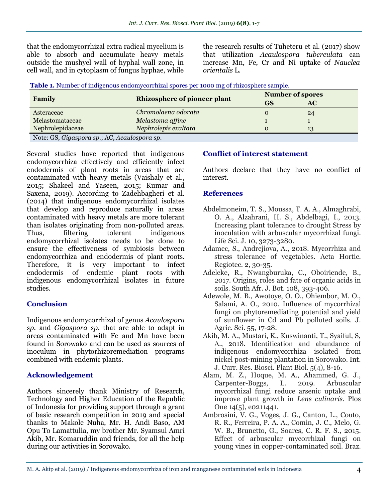that the endomycorrhizal extra radical mycelium is able to absorb and accumulate heavy metals outside the mushyel wall of hyphal wall zone, in cell wall, and in cytoplasm of fungus hyphae, while

the research results of Tuheteru et al. (2017) show that utilization *Acaulospora tuberculata* can increase Mn, Fe, Cr and Ni uptake of *Nauclea orientalis* L.

|  | Table 1. Number of indigenous endomycorrhizal spores per 1000 mg of rhizosphere sample. |  |  |  |  |
|--|-----------------------------------------------------------------------------------------|--|--|--|--|
|  |                                                                                         |  |  |  |  |

|                  | <b>Rhizosphere of pioneer plant</b> | <b>Number of spores</b> |    |  |  |  |  |
|------------------|-------------------------------------|-------------------------|----|--|--|--|--|
| Family           |                                     | <b>GS</b>               | AC |  |  |  |  |
| Asteraceae       | Chromolaena odorata                 |                         | 24 |  |  |  |  |
| Melastomataceae  | Melastoma affine                    |                         |    |  |  |  |  |
| Nephrolepidaceae | Nephrolepis exaltata                |                         | 13 |  |  |  |  |
|                  |                                     |                         |    |  |  |  |  |

Note: GS, *Gigaspora sp.*; AC, *Acaulospora sp*.

Several studies have reported that indigenous endomycorrhiza effectively and efficiently infect endodermis of plant roots in areas that are contaminated with heavy metals (Vaishaly et al., 2015; Shakeel and Yaseen, 2015; Kumar and Saxena, 2019). According to Zadehbagheri et al. (2014) that indigenous endomycorrhizal isolates that develop and reproduce naturally in areas contaminated with heavy metals are more tolerant than isolates originating from non-polluted areas. Thus, filtering tolerant indigenous endomycorrhizal isolates needs to be done to ensure the effectiveness of symbiosis between endomycorrhiza and endodermis of plant roots. Therefore, it is very important to infect endodermis of endemic plant roots with indigenous endomycorrhizal isolates in future studies.

#### **Conclusion**

Indigenous endomycorrhizal of genus *Acaulospora sp.* and *Gigaspora sp*. that are able to adapt in areas contaminated with Fe and Mn have been found in Sorowako and can be used as sources of inoculum in phytorhizoremediation programs combined with endemic plants.

# **Acknowledgement**

Authors sincerely thank Ministry of Research, Technology and Higher Education of the Republic of Indonesia for providing support through a grant of basic research competition in 2019 and special thanks to Makole Nuha, Mr. H. Andi Baso, AM Opu To Lamattulia, my brother Mr. Syamsul Amri Akib, Mr. Komaruddin and friends, for all the help during our activities in Sorowako.

# **Conflict of interest statement**

Authors declare that they have no conflict of interest.

# **References**

- Abdelmoneim, T. S., Moussa, T. A. A., Almaghrabi, O. A., Alzahrani, H. S., Abdelbagi, I., 2013. Increasing plant tolerance to drought Stress by inoculation with arbuscular mycorrhizal fungi. Life Sci. J. 10, 3273-3280.
- Adamec, S., Andrejiova, A., 2018. Mycorrhiza and stress tolerance of vegetables. Acta Hortic. Regiotec. 2, 30-35.
- Adeleke, R., Nwangburuka, C., Oboiriende, B., 2017. Origins, roles and fate of organic acids in soils. South Afr. J. Bot. 108, 393-406.
- Adewole, M. B., Awotoye, O. O., Ohiembor, M. O., Salami, A. O., 2010. Influence of mycorrhizal fungi on phytoremediating potential and yield of sunflower in Cd and Pb polluted soils. J. Agric. Sci. 55, 17-28.
- Akib, M. A., Mustari, K., Kuswinanti, T., Syaiful, S, A., 2018. Identification and abundance of indigenous endomycorrhiza isolated from nickel post-mining plantation in Sorowako. Int. J. Curr. Res. Biosci. Plant Biol. 5(4), 8-16.
- Alam, M. Z., Hoque, M. A., Ahammed, G. J., Carpenter-Boggs, L. 2019. Arbuscular mycorrhizal fungi reduce arsenic uptake and improve plant growth in *Lens culinaris*. Plos One 14(5), e0211441.
- Ambrosini, V. G., Voges, J. G., Canton, L., Couto, R. R., Ferreira, P. A. A., Comin, J. C., Melo, G. W. B., Brunetto, G., Soares, C. R. F. S., 2015. Effect of arbuscular mycorrhizal fungi on young vines in copper-contaminated soil. Braz.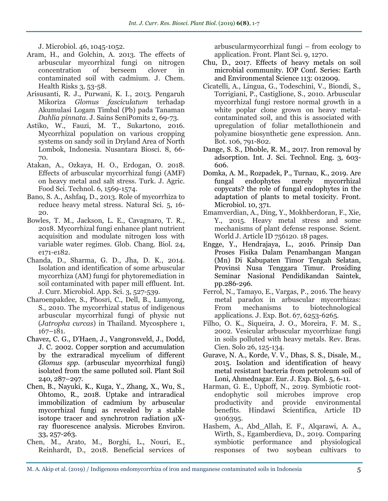J. Microbiol. 46, 1045-1052.

- Aram, H., and Golchin, A. 2013. The effects of arbuscular mycorrhizal fungi on nitrogen concentration of berseem clover in contaminated soil with cadmium. J. Chem. Health Risks 3, 53-58.
- Arisusanti, R. J., Purwani, K. I., 2013. Pengaruh Mikoriza *Glomus fasciculatum* terhadap Akumulasi Logam Timbal (Pb) pada Tanaman *Dahlia pinnata*. J. Sains SeniPomits 2, 69-73.
- Astiko, W., Fauzi, M. T., Sukartono, 2016. Mycorrhizal population on various cropping systems on sandy soil in Dryland Area of North Lombok, Indonesia. Nusantara Biosci. 8, 66- 70.
- Atakan, A., Ozkaya, H. O., Erdogan, O. 2018. Effects of arbuscular mycorrhizal fungi (AMF) on heavy metal and salt stress. Turk. J. Agric. Food Sci. Technol. 6, 1569-1574.
- Bano, S. A., Ashfaq, D., 2013. Role of mycorrhiza to reduce heavy metal stress. Natural Sci. 5, 16- 20.
- Bowles, T. M., Jackson, L. E., Cavagnaro, T. R., 2018. Mycorrhizal fungi enhance plant nutrient acquisition and modulate nitrogen loss with variable water regimes. Glob. Chang. Biol. 24, e171-e182.
- Chanda, D., Sharma, G. D., Jha, D. K., 2014. Isolation and identification of some arbuscular mycorrhiza (AM) fungi for phytoremediation in soil contaminated with paper mill effluent. Int. J. Curr. Microbiol. App. Sci. 3, 527-539.
- Charoenpakdee, S., Phosri, C., Dell, B., Lumyong, S., 2010. The mycorrhizal status of indigenous arbuscular mycorrhizal fungi of physic nut (*Jatropha curcas*) in Thailand. Mycosphere 1, 167–181.
- Chavez, C. G., D'Haen, J., Vangronsveld, J., Dodd, J. C. 2002. Copper sorption and accumulation by the extraradical mycelium of different *Glomus spp*. (arbuscular mycorrhizal fungi) isolated from the same polluted soil. Plant Soil 240, 287–297.
- Chen, B., Nayuki, K., Kuga, Y., Zhang, X., Wu, S., Ohtomo, R., 2018. Uptake and intraradical immobilization of cadmium by arbuscular mycorrhizal fungi as revealed by a stable isotope tracer and synchrotron radiation μXray fluorescence analysis. Microbes Environ. 33, 257-263.
- Chen, M., Arato, M., Borghi, L., Nouri, E., Reinhardt, D., 2018. Beneficial services of

arbuscularmycorrhizal fungi – from ecology to application. Front. Plant Sci. 9, 1270.

- Chu, D., 2017. Effects of heavy metals on soil microbial community. IOP Conf. Series: Earth and Environmental Science 113: 012009.
- Cicatelli, A., Lingua, G., Todeschini, V., Biondi, S., Torrigiani, P., Castiglione, S., 2010. Arbuscular mycorrhizal fungi restore normal growth in a white poplar clone grown on heavy metalcontaminated soil, and this is associated with upregulation of foliar metallothionein and polyamine biosynthetic gene expression. Ann. Bot. 106, 791-802.
- Dange, S. S., Dhoble, R. M., 2017. Iron removal by adsorption. Int. J. Sci. Technol. Eng. 3, 603- 606.
- Domka, A. M., Rozpadek, P., Turnau, K., 2019. Are fungal endophytes merely mycorrhizal copycats? the role of fungal endophytes in the adaptation of plants to metal toxicity. Front. Microbiol. 10, 371.
- Emamverdian, A., Ding, Y., Mokhberdoran, F., Xie, Y., 2015. Heavy metal stress and some mechanisms of plant defense response. Scient. World J. Article ID 756120. 18 pages.
- Engge, Y., Hendrajaya, L., 2016. Prinsip Dan Proses Fisika Dalam Penambangan Mangan (Mn) Di Kabupaten Timor Tengah Selatan, Provinsi Nusa Tenggara Timur. Prosiding Seminar Nasional Pendidikandan Saintek, pp.286-296.
- Ferrol, N., Tamayo, E., Vargas, P., 2016. The heavy metal paradox in arbuscular mycorrhizas: From mechanisms to biotechnological applications. J. Exp. Bot. 67, 6253-6265.
- Filho, O. K., Siqueira, J. O., Moreira, F. M. S., 2002. Vesicular arbuscular mycorrhizae fungi in soils polluted with heavy metals. Rev. Bras. Cien. Solo 26, 125-134.
- Gurave, N. A., Korde, V. V., Dhas, S. S., Disale, M., 2015. Isolation and identification of heavy metal resistant bacteria from petroleum soil of Loni, Ahmednagar. Eur. J. Exp. Biol. 5, 6-11.
- Harman, G. E., Uphoff, N., 2019. Symbiotic rootendophytic soil microbes improve crop productivity and provide environmental benefits. Hindawi Scientifica, Article ID 9106395.
- Hashem, A., Abd\_Allah, E. F., Alqarawi, A. A., Wirth, S., Egamberdieva, D., 2019. Comparing symbiotic performance and physiological responses of two soybean cultivars to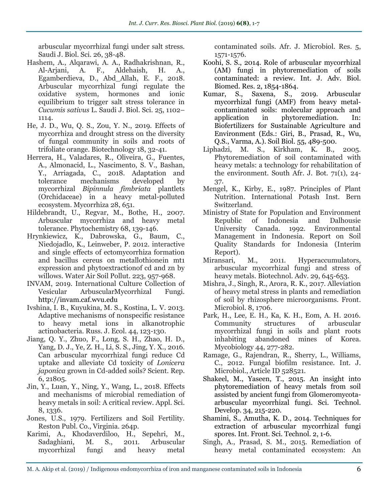arbuscular mycorrhizal fungi under salt stress. Saudi J. Biol. Sci. 26, 38-48.

- Hashem, A., Alqarawi, A. A., Radhakrishnan, R., Al-Arjani, A. F., Aldehaish, H. A., Egamberdieva, D., Abd\_Allah, E. F., 2018. Arbuscular mycorrhizal fungi regulate the oxidative system, hormones and ionic equilibrium to trigger salt stress tolerance in *Cucumis sativus* L. Saudi J. Biol. Sci. 25, 1102– 1114.
- He, J. D., Wu, Q. S., Zou, Y. N., 2019. Effects of mycorrhiza and drought stress on the diversity of fungal community in soils and roots of trifoliate orange. Biotechnology 18, 32-41.
- Herrera, H., Valadares, R., Oliveira, G., Fuentes, A., Almonacid, L., Nascimento, S. V., Bashan, Y., Arriagada, C., 2018. Adaptation and tolerance mechanisms developed by mycorrhizal *Bipinnula fimbriata* plantlets (Orchidaceae) in a heavy metal-polluted ecosystem. Mycorrhiza 28, 651.
- Hildebrandt, U., Regvar, M., Bothe, H., 2007. Arbuscular mycorrhiza and heavy metal tolerance. Phytochemistry 68, 139-146.
- Hrynkiewicz, K., Dabrowska, G., Baum, C., Niedojadlo, K., Leinweber, P. 2012. interactive and single effects of ectomycorrhiza formation and bacillus cereus on metallothionein mt1 expression and phytoextractionof cd and zn by willows. Water Air Soil Pollut. 223, 957-968.
- INVAM, 2019. International Culture Collection of Vesicular ArbuscularMycorrhizal Fungi. http://invam.caf.wvu.edu
- Ivshina, I. B., Kuyukina, M. S., Kostina, L. V. 2013. Adaptive mechanisms of nonspecific resistance to heavy metal ions in alkanotrophic actinobacteria. Russ. J. Ecol. 44, 123-130.
- Jiang, Q. Y., Zhuo, F., Long, S. H., Zhao, H. D., Yang, D. J., Ye, Z. H., Li, S. S., Jing, Y. X., 2016. Can arbuscular mycorrhizal fungi reduce Cd uptake and alleviate Cd toxicity of *Lonicera japonica* grown in Cd-added soils? Scient. Rep. 6, 21805.
- Jin, Y., Luan, Y., Ning, Y., Wang, L., 2018. Effects and mechanisms of microbial remediation of heavy metals in soil: A critical review. Appl. Sci. 8, 1336.
- Jones, U.S., 1979. Fertilizers and Soil Fertility. Reston Publ. Co., Virginia. 264p.
- Karimi, A., Khodaverdiloo, H., Sepehri, M., Sadaghiani, M. S., 2011. Arbuscular mycorrhizal fungi and heavy metal

contaminated soils. Afr. J. Microbiol. Res. 5, 1571-1576.

- Koohi, S. S., 2014. Role of arbuscular mycorrhizal (AM) fungi in phytoremediation of soils contaminated: a review. Int. J. Adv. Biol. Biomed. Res. 2, 1854-1864.
- Kumar, S., Saxena, S., 2019. Arbuscular mycorrhizal fungi (AMF) from heavy metalcontaminated soils: molecular approach and application in phytoremediation. In: Biofertilizers for Sustainable Agriculture and Environment (Eds.: Giri, B., Prasad, R., Wu, Q.S., Varma, A.). Soil Biol. 55, 489-500.
- Liphadzi, M. S., Kirkham, K. B., 2005. Phytoremediation of soil contaminated with heavy metals: a technology for rehabilitation of the environment. South Afr. J. Bot. 71(1), 24- 37.
- Mengel, K., Kirby, E., 1987. Principles of Plant Nutrition. International Potash Inst. Bern Switzerland.
- Ministry of State for Population and Environment Republic of Indonesia and Dalhousie University Canada. 1992. Environmental Management in Indonesia. Report on Soil Quality Standards for Indonesia (Interim Report).
- Miransari, M., 2011. Hyperaccumulators, arbuscular mycorrhizal fungi and stress of heavy metals. Biotechnol. Adv. 29, 645-653.
- Mishra, J., Singh, R., Arora, R. K., 2017. Alleviation of heavy metal stress in plants and remediation of soil by rhizosphere microorganisms. Front. Microbiol. 8, 1706.
- Park, H., Lee, E. H., Ka, K. H., Eom, A. H. 2016. Community structures of arbuscular mycorrhizal fungi in soils and plant roots inhabiting abandoned mines of Korea. Mycobiology 44, 277-282.
- Ramage, G., Rajendran, R., Sherry, L., Williams, C., 2012. Fungal biofilm resistance. Int. J. Microbiol., Article ID 528521.
- Shakeel, M., Yaseen, T., 2015. An insight into phytoremediation of heavy metals from soil assisted by ancient fungi from Glomeromycotaarbuscular mycorrhizal fungi. Sci. Technol. Develop. 34, 215-220.
- Shamini, S., Amutha, K. D., 2014. Techniques for extraction of arbuscular mycorrhizal fungi spores. Int. Front. Sci. Technol. 2, 1-6.
- Singh, A., Prasad, S. M., 2015. Remediation of heavy metal contaminated ecosystem: An